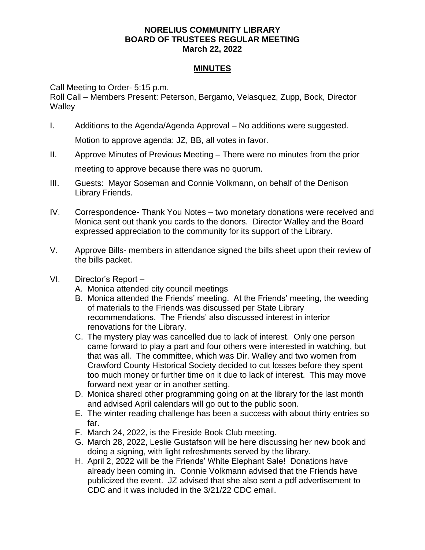## **NORELIUS COMMUNITY LIBRARY BOARD OF TRUSTEES REGULAR MEETING March 22, 2022**

## **MINUTES**

Call Meeting to Order- 5:15 p.m.

Roll Call – Members Present: Peterson, Bergamo, Velasquez, Zupp, Bock, Director **Walley** 

I. Additions to the Agenda/Agenda Approval – No additions were suggested.

Motion to approve agenda: JZ, BB, all votes in favor.

- II. Approve Minutes of Previous Meeting There were no minutes from the prior meeting to approve because there was no quorum.
- III. Guests: Mayor Soseman and Connie Volkmann, on behalf of the Denison Library Friends.
- IV. Correspondence- Thank You Notes two monetary donations were received and Monica sent out thank you cards to the donors. Director Walley and the Board expressed appreciation to the community for its support of the Library.
- V. Approve Bills- members in attendance signed the bills sheet upon their review of the bills packet.
- VI. Director's Report
	- A. Monica attended city council meetings
	- B. Monica attended the Friends' meeting. At the Friends' meeting, the weeding of materials to the Friends was discussed per State Library recommendations. The Friends' also discussed interest in interior renovations for the Library.
	- C. The mystery play was cancelled due to lack of interest. Only one person came forward to play a part and four others were interested in watching, but that was all. The committee, which was Dir. Walley and two women from Crawford County Historical Society decided to cut losses before they spent too much money or further time on it due to lack of interest. This may move forward next year or in another setting.
	- D. Monica shared other programming going on at the library for the last month and advised April calendars will go out to the public soon.
	- E. The winter reading challenge has been a success with about thirty entries so far.
	- F. March 24, 2022, is the Fireside Book Club meeting.
	- G. March 28, 2022, Leslie Gustafson will be here discussing her new book and doing a signing, with light refreshments served by the library.
	- H. April 2, 2022 will be the Friends' White Elephant Sale! Donations have already been coming in. Connie Volkmann advised that the Friends have publicized the event. JZ advised that she also sent a pdf advertisement to CDC and it was included in the 3/21/22 CDC email.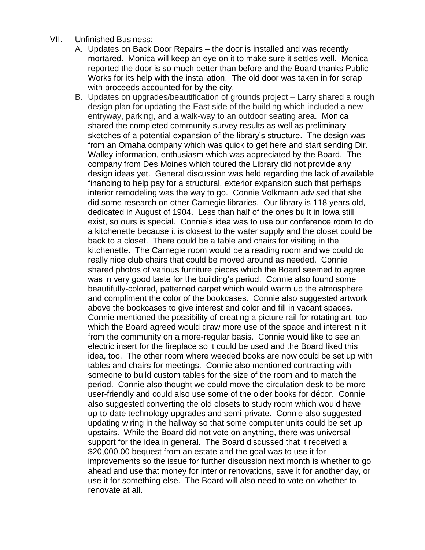- VII. Unfinished Business:
	- A. Updates on Back Door Repairs the door is installed and was recently mortared. Monica will keep an eye on it to make sure it settles well. Monica reported the door is so much better than before and the Board thanks Public Works for its help with the installation. The old door was taken in for scrap with proceeds accounted for by the city.
	- B. Updates on upgrades/beautification of grounds project Larry shared a rough design plan for updating the East side of the building which included a new entryway, parking, and a walk-way to an outdoor seating area. Monica shared the completed community survey results as well as preliminary sketches of a potential expansion of the library's structure. The design was from an Omaha company which was quick to get here and start sending Dir. Walley information, enthusiasm which was appreciated by the Board. The company from Des Moines which toured the Library did not provide any design ideas yet. General discussion was held regarding the lack of available financing to help pay for a structural, exterior expansion such that perhaps interior remodeling was the way to go. Connie Volkmann advised that she did some research on other Carnegie libraries. Our library is 118 years old, dedicated in August of 1904. Less than half of the ones built in Iowa still exist, so ours is special. Connie's idea was to use our conference room to do a kitchenette because it is closest to the water supply and the closet could be back to a closet. There could be a table and chairs for visiting in the kitchenette. The Carnegie room would be a reading room and we could do really nice club chairs that could be moved around as needed. Connie shared photos of various furniture pieces which the Board seemed to agree was in very good taste for the building's period. Connie also found some beautifully-colored, patterned carpet which would warm up the atmosphere and compliment the color of the bookcases. Connie also suggested artwork above the bookcases to give interest and color and fill in vacant spaces. Connie mentioned the possibility of creating a picture rail for rotating art, too which the Board agreed would draw more use of the space and interest in it from the community on a more-regular basis. Connie would like to see an electric insert for the fireplace so it could be used and the Board liked this idea, too. The other room where weeded books are now could be set up with tables and chairs for meetings. Connie also mentioned contracting with someone to build custom tables for the size of the room and to match the period. Connie also thought we could move the circulation desk to be more user-friendly and could also use some of the older books for décor. Connie also suggested converting the old closets to study room which would have up-to-date technology upgrades and semi-private. Connie also suggested updating wiring in the hallway so that some computer units could be set up upstairs. While the Board did not vote on anything, there was universal support for the idea in general. The Board discussed that it received a \$20,000.00 bequest from an estate and the goal was to use it for improvements so the issue for further discussion next month is whether to go ahead and use that money for interior renovations, save it for another day, or use it for something else. The Board will also need to vote on whether to renovate at all.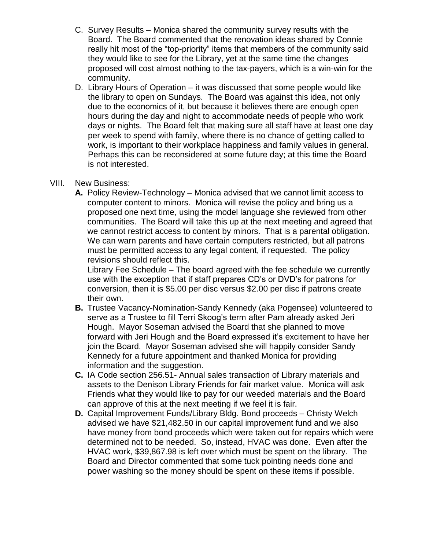- C. Survey Results Monica shared the community survey results with the Board. The Board commented that the renovation ideas shared by Connie really hit most of the "top-priority" items that members of the community said they would like to see for the Library, yet at the same time the changes proposed will cost almost nothing to the tax-payers, which is a win-win for the community.
- D. Library Hours of Operation it was discussed that some people would like the library to open on Sundays. The Board was against this idea, not only due to the economics of it, but because it believes there are enough open hours during the day and night to accommodate needs of people who work days or nights. The Board felt that making sure all staff have at least one day per week to spend with family, where there is no chance of getting called to work, is important to their workplace happiness and family values in general. Perhaps this can be reconsidered at some future day; at this time the Board is not interested.

## VIII. New Business:

**A.** Policy Review-Technology – Monica advised that we cannot limit access to computer content to minors. Monica will revise the policy and bring us a proposed one next time, using the model language she reviewed from other communities. The Board will take this up at the next meeting and agreed that we cannot restrict access to content by minors. That is a parental obligation. We can warn parents and have certain computers restricted, but all patrons must be permitted access to any legal content, if requested. The policy revisions should reflect this.

Library Fee Schedule – The board agreed with the fee schedule we currently use with the exception that if staff prepares CD's or DVD's for patrons for conversion, then it is \$5.00 per disc versus \$2.00 per disc if patrons create their own.

- **B.** Trustee Vacancy-Nomination-Sandy Kennedy (aka Pogensee) volunteered to serve as a Trustee to fill Terri Skoog's term after Pam already asked Jeri Hough. Mayor Soseman advised the Board that she planned to move forward with Jeri Hough and the Board expressed it's excitement to have her join the Board. Mayor Soseman advised she will happily consider Sandy Kennedy for a future appointment and thanked Monica for providing information and the suggestion.
- **C.** IA Code section 256.51- Annual sales transaction of Library materials and assets to the Denison Library Friends for fair market value. Monica will ask Friends what they would like to pay for our weeded materials and the Board can approve of this at the next meeting if we feel it is fair.
- **D.** Capital Improvement Funds/Library Bldg. Bond proceeds Christy Welch advised we have \$21,482.50 in our capital improvement fund and we also have money from bond proceeds which were taken out for repairs which were determined not to be needed. So, instead, HVAC was done. Even after the HVAC work, \$39,867.98 is left over which must be spent on the library. The Board and Director commented that some tuck pointing needs done and power washing so the money should be spent on these items if possible.